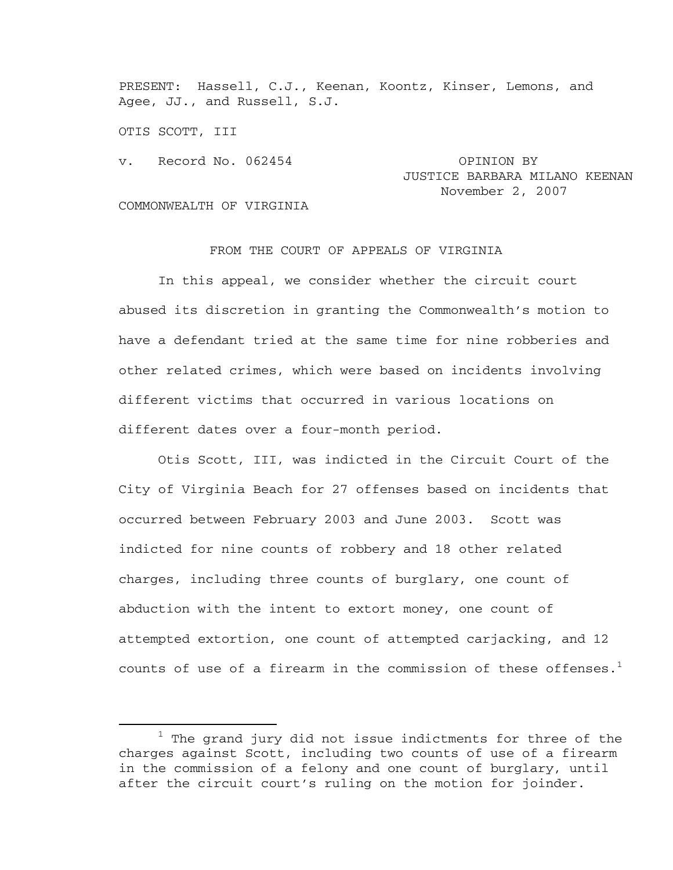PRESENT: Hassell, C.J., Keenan, Koontz, Kinser, Lemons, and Agee, JJ., and Russell, S.J.

OTIS SCOTT, III

v. Record No. 062454 OPINION BY

## JUSTICE BARBARA MILANO KEENAN November 2, 2007

COMMONWEALTH OF VIRGINIA

## FROM THE COURT OF APPEALS OF VIRGINIA

 In this appeal, we consider whether the circuit court abused its discretion in granting the Commonwealth's motion to have a defendant tried at the same time for nine robberies and other related crimes, which were based on incidents involving different victims that occurred in various locations on different dates over a four-month period.

 Otis Scott, III, was indicted in the Circuit Court of the City of Virginia Beach for 27 offenses based on incidents that occurred between February 2003 and June 2003. Scott was indicted for nine counts of robbery and 18 other related charges, including three counts of burglary, one count of abduction with the intent to extort money, one count of attempted extortion, one count of attempted carjacking, and 12 counts of use of a firearm in the commission of these offenses.<sup>1</sup>

<sup>&</sup>lt;u>1</u>  $1$  The grand jury did not issue indictments for three of the charges against Scott, including two counts of use of a firearm in the commission of a felony and one count of burglary, until after the circuit court's ruling on the motion for joinder.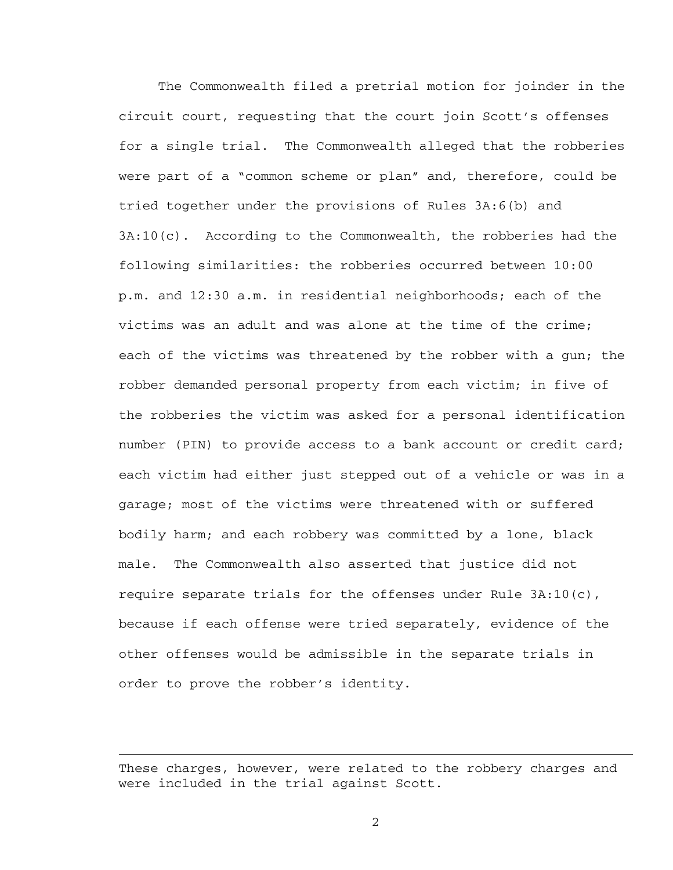The Commonwealth filed a pretrial motion for joinder in the circuit court, requesting that the court join Scott's offenses for a single trial. The Commonwealth alleged that the robberies were part of a "common scheme or plan" and, therefore, could be tried together under the provisions of Rules 3A:6(b) and 3A:10(c). According to the Commonwealth, the robberies had the following similarities: the robberies occurred between 10:00 p.m. and 12:30 a.m. in residential neighborhoods; each of the victims was an adult and was alone at the time of the crime; each of the victims was threatened by the robber with a gun; the robber demanded personal property from each victim; in five of the robberies the victim was asked for a personal identification number (PIN) to provide access to a bank account or credit card; each victim had either just stepped out of a vehicle or was in a garage; most of the victims were threatened with or suffered bodily harm; and each robbery was committed by a lone, black male. The Commonwealth also asserted that justice did not require separate trials for the offenses under Rule 3A:10(c), because if each offense were tried separately, evidence of the other offenses would be admissible in the separate trials in order to prove the robber's identity.

These charges, however, were related to the robbery charges and were included in the trial against Scott.

i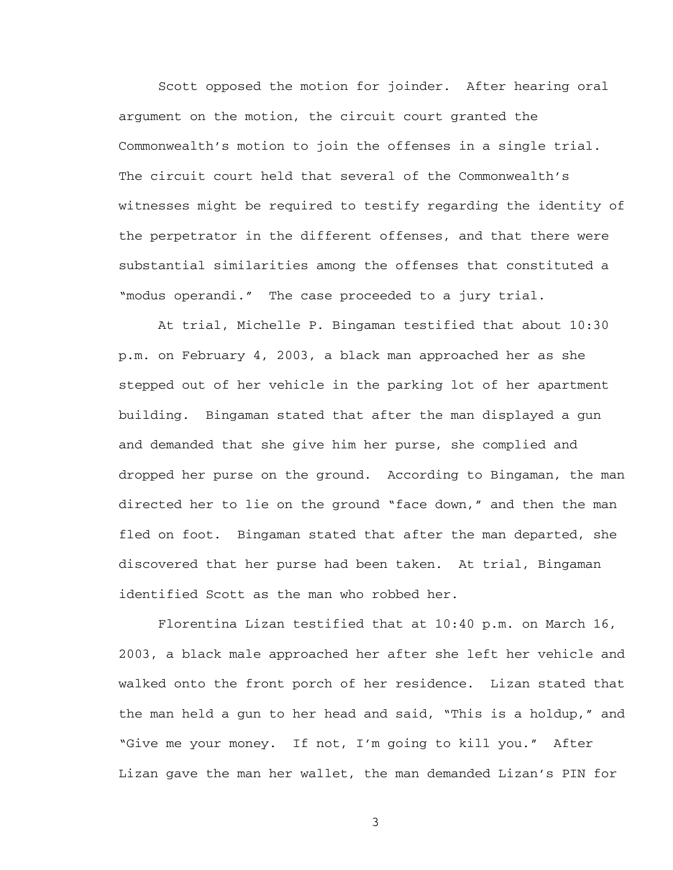Scott opposed the motion for joinder. After hearing oral argument on the motion, the circuit court granted the Commonwealth's motion to join the offenses in a single trial. The circuit court held that several of the Commonwealth's witnesses might be required to testify regarding the identity of the perpetrator in the different offenses, and that there were substantial similarities among the offenses that constituted a "modus operandi." The case proceeded to a jury trial.

At trial, Michelle P. Bingaman testified that about 10:30 p.m. on February 4, 2003, a black man approached her as she stepped out of her vehicle in the parking lot of her apartment building. Bingaman stated that after the man displayed a gun and demanded that she give him her purse, she complied and dropped her purse on the ground. According to Bingaman, the man directed her to lie on the ground "face down," and then the man fled on foot. Bingaman stated that after the man departed, she discovered that her purse had been taken. At trial, Bingaman identified Scott as the man who robbed her.

 Florentina Lizan testified that at 10:40 p.m. on March 16, 2003, a black male approached her after she left her vehicle and walked onto the front porch of her residence. Lizan stated that the man held a gun to her head and said, "This is a holdup," and "Give me your money. If not, I'm going to kill you." After Lizan gave the man her wallet, the man demanded Lizan's PIN for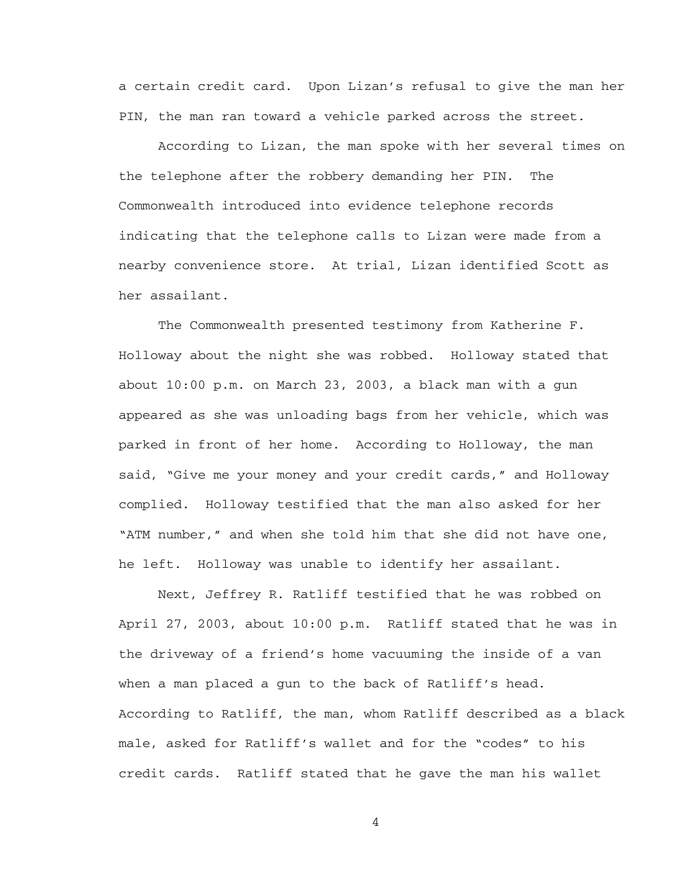a certain credit card. Upon Lizan's refusal to give the man her PIN, the man ran toward a vehicle parked across the street.

According to Lizan, the man spoke with her several times on the telephone after the robbery demanding her PIN. The Commonwealth introduced into evidence telephone records indicating that the telephone calls to Lizan were made from a nearby convenience store. At trial, Lizan identified Scott as her assailant.

The Commonwealth presented testimony from Katherine F. Holloway about the night she was robbed. Holloway stated that about 10:00 p.m. on March 23, 2003, a black man with a gun appeared as she was unloading bags from her vehicle, which was parked in front of her home. According to Holloway, the man said, "Give me your money and your credit cards," and Holloway complied. Holloway testified that the man also asked for her "ATM number," and when she told him that she did not have one, he left. Holloway was unable to identify her assailant.

 Next, Jeffrey R. Ratliff testified that he was robbed on April 27, 2003, about 10:00 p.m. Ratliff stated that he was in the driveway of a friend's home vacuuming the inside of a van when a man placed a gun to the back of Ratliff's head. According to Ratliff, the man, whom Ratliff described as a black male, asked for Ratliff's wallet and for the "codes" to his credit cards. Ratliff stated that he gave the man his wallet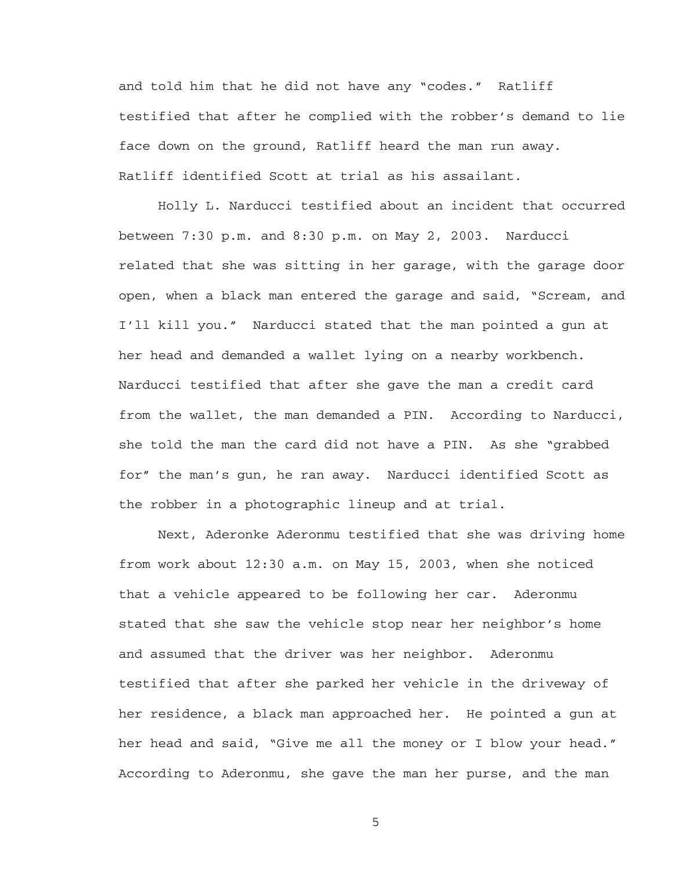and told him that he did not have any "codes." Ratliff testified that after he complied with the robber's demand to lie face down on the ground, Ratliff heard the man run away. Ratliff identified Scott at trial as his assailant.

 Holly L. Narducci testified about an incident that occurred between 7:30 p.m. and 8:30 p.m. on May 2, 2003. Narducci related that she was sitting in her garage, with the garage door open, when a black man entered the garage and said, "Scream, and I'll kill you." Narducci stated that the man pointed a gun at her head and demanded a wallet lying on a nearby workbench. Narducci testified that after she gave the man a credit card from the wallet, the man demanded a PIN. According to Narducci, she told the man the card did not have a PIN. As she "grabbed for" the man's gun, he ran away. Narducci identified Scott as the robber in a photographic lineup and at trial.

 Next, Aderonke Aderonmu testified that she was driving home from work about 12:30 a.m. on May 15, 2003, when she noticed that a vehicle appeared to be following her car. Aderonmu stated that she saw the vehicle stop near her neighbor's home and assumed that the driver was her neighbor. Aderonmu testified that after she parked her vehicle in the driveway of her residence, a black man approached her. He pointed a gun at her head and said, "Give me all the money or I blow your head." According to Aderonmu, she gave the man her purse, and the man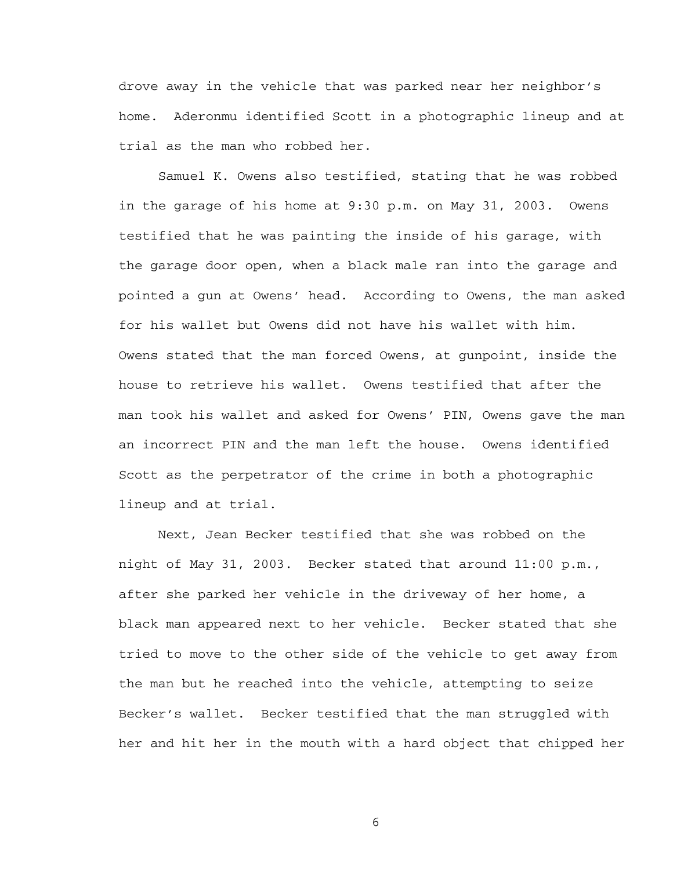drove away in the vehicle that was parked near her neighbor's home. Aderonmu identified Scott in a photographic lineup and at trial as the man who robbed her.

 Samuel K. Owens also testified, stating that he was robbed in the garage of his home at 9:30 p.m. on May 31, 2003. Owens testified that he was painting the inside of his garage, with the garage door open, when a black male ran into the garage and pointed a gun at Owens' head. According to Owens, the man asked for his wallet but Owens did not have his wallet with him. Owens stated that the man forced Owens, at gunpoint, inside the house to retrieve his wallet. Owens testified that after the man took his wallet and asked for Owens' PIN, Owens gave the man an incorrect PIN and the man left the house. Owens identified Scott as the perpetrator of the crime in both a photographic lineup and at trial.

 Next, Jean Becker testified that she was robbed on the night of May 31, 2003. Becker stated that around 11:00 p.m., after she parked her vehicle in the driveway of her home, a black man appeared next to her vehicle. Becker stated that she tried to move to the other side of the vehicle to get away from the man but he reached into the vehicle, attempting to seize Becker's wallet. Becker testified that the man struggled with her and hit her in the mouth with a hard object that chipped her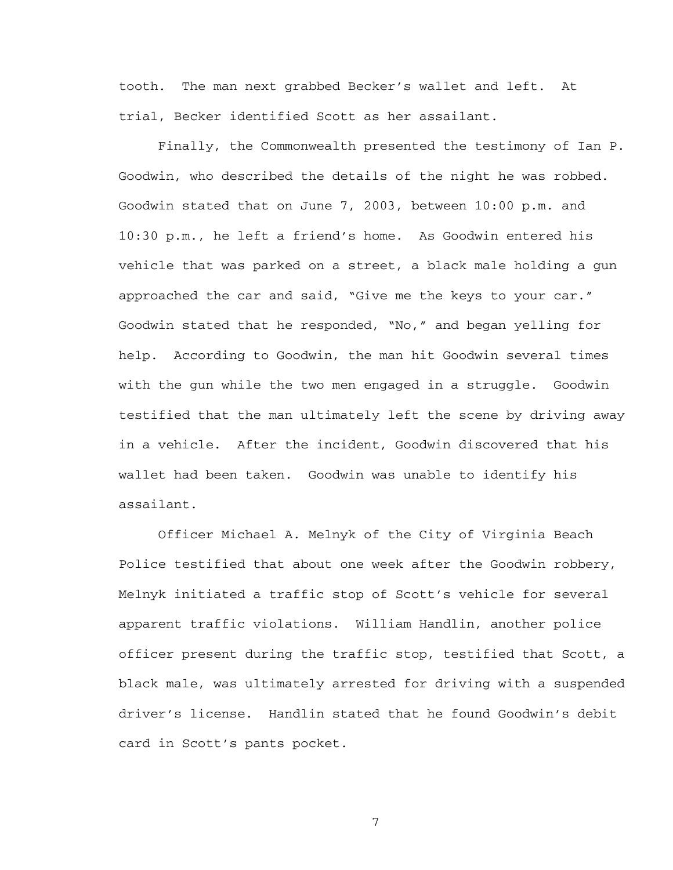tooth. The man next grabbed Becker's wallet and left. At trial, Becker identified Scott as her assailant.

 Finally, the Commonwealth presented the testimony of Ian P. Goodwin, who described the details of the night he was robbed. Goodwin stated that on June 7, 2003, between 10:00 p.m. and 10:30 p.m., he left a friend's home. As Goodwin entered his vehicle that was parked on a street, a black male holding a gun approached the car and said, "Give me the keys to your car." Goodwin stated that he responded, "No," and began yelling for help. According to Goodwin, the man hit Goodwin several times with the gun while the two men engaged in a struggle. Goodwin testified that the man ultimately left the scene by driving away in a vehicle. After the incident, Goodwin discovered that his wallet had been taken. Goodwin was unable to identify his assailant.

 Officer Michael A. Melnyk of the City of Virginia Beach Police testified that about one week after the Goodwin robbery, Melnyk initiated a traffic stop of Scott's vehicle for several apparent traffic violations. William Handlin, another police officer present during the traffic stop, testified that Scott, a black male, was ultimately arrested for driving with a suspended driver's license. Handlin stated that he found Goodwin's debit card in Scott's pants pocket.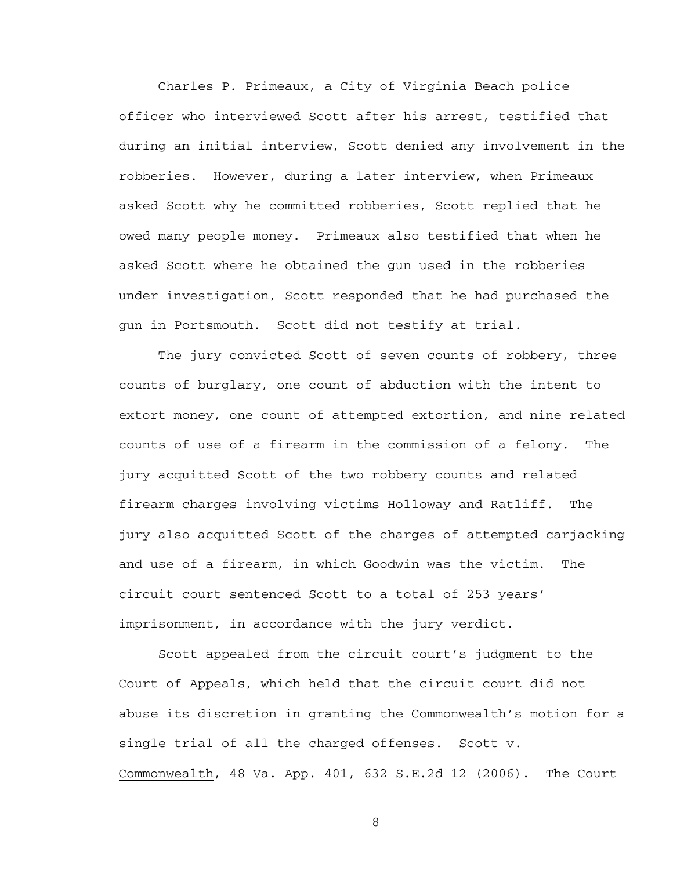Charles P. Primeaux, a City of Virginia Beach police officer who interviewed Scott after his arrest, testified that during an initial interview, Scott denied any involvement in the robberies. However, during a later interview, when Primeaux asked Scott why he committed robberies, Scott replied that he owed many people money. Primeaux also testified that when he asked Scott where he obtained the gun used in the robberies under investigation, Scott responded that he had purchased the gun in Portsmouth. Scott did not testify at trial.

 The jury convicted Scott of seven counts of robbery, three counts of burglary, one count of abduction with the intent to extort money, one count of attempted extortion, and nine related counts of use of a firearm in the commission of a felony. The jury acquitted Scott of the two robbery counts and related firearm charges involving victims Holloway and Ratliff. The jury also acquitted Scott of the charges of attempted carjacking and use of a firearm, in which Goodwin was the victim. The circuit court sentenced Scott to a total of 253 years' imprisonment, in accordance with the jury verdict.

 Scott appealed from the circuit court's judgment to the Court of Appeals, which held that the circuit court did not abuse its discretion in granting the Commonwealth's motion for a single trial of all the charged offenses. Scott v. Commonwealth, 48 Va. App. 401, 632 S.E.2d 12 (2006). The Court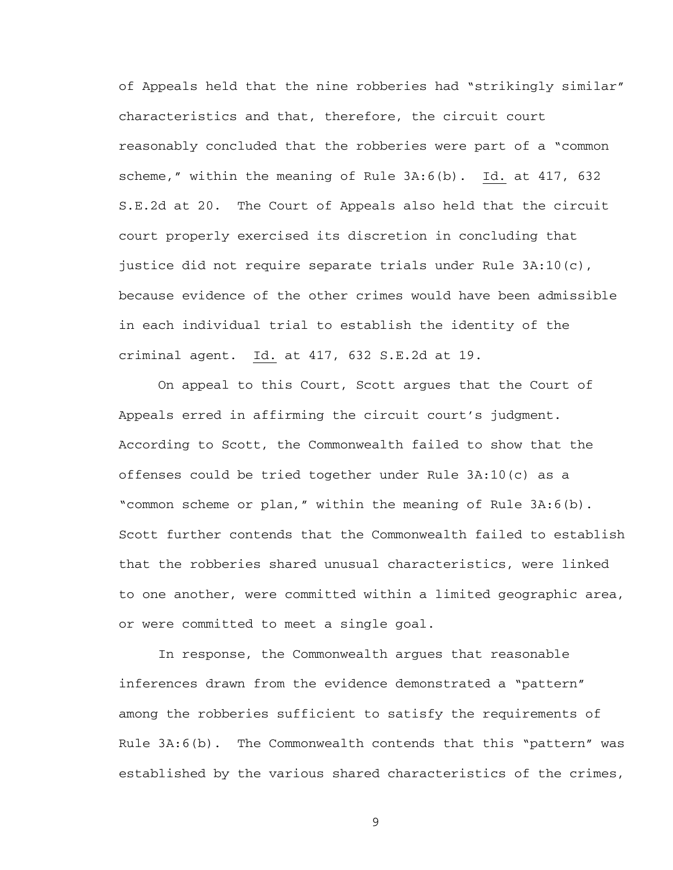of Appeals held that the nine robberies had "strikingly similar" characteristics and that, therefore, the circuit court reasonably concluded that the robberies were part of a "common scheme," within the meaning of Rule 3A:6(b). Id. at 417, 632 S.E.2d at 20. The Court of Appeals also held that the circuit court properly exercised its discretion in concluding that justice did not require separate trials under Rule 3A:10(c), because evidence of the other crimes would have been admissible in each individual trial to establish the identity of the criminal agent. Id. at 417, 632 S.E.2d at 19.

On appeal to this Court, Scott argues that the Court of Appeals erred in affirming the circuit court's judgment. According to Scott, the Commonwealth failed to show that the offenses could be tried together under Rule 3A:10(c) as a "common scheme or plan," within the meaning of Rule 3A:6(b). Scott further contends that the Commonwealth failed to establish that the robberies shared unusual characteristics, were linked to one another, were committed within a limited geographic area, or were committed to meet a single goal.

 In response, the Commonwealth argues that reasonable inferences drawn from the evidence demonstrated a "pattern" among the robberies sufficient to satisfy the requirements of Rule 3A:6(b). The Commonwealth contends that this "pattern" was established by the various shared characteristics of the crimes,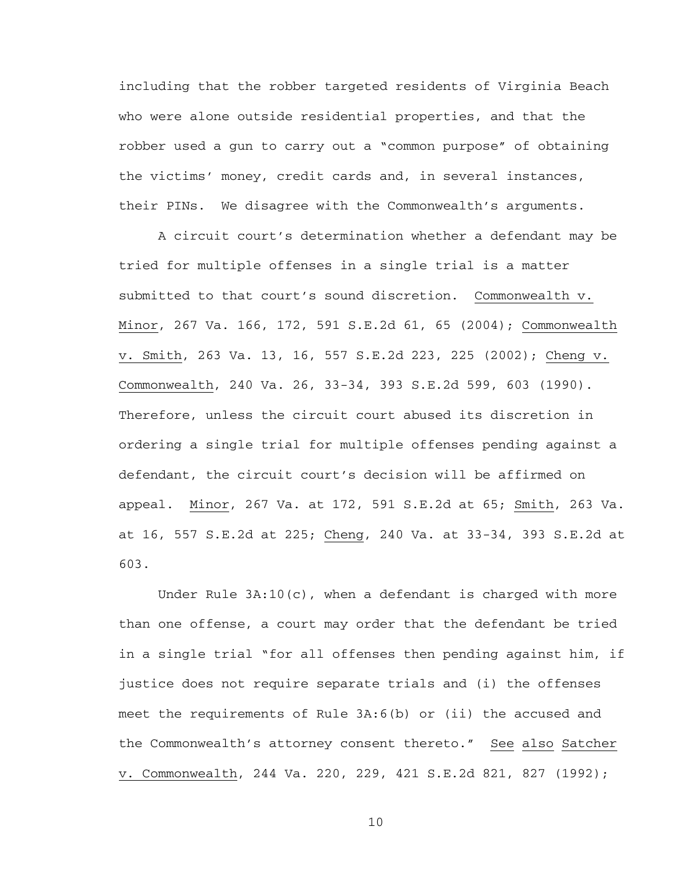including that the robber targeted residents of Virginia Beach who were alone outside residential properties, and that the robber used a gun to carry out a "common purpose" of obtaining the victims' money, credit cards and, in several instances, their PINs. We disagree with the Commonwealth's arguments.

A circuit court's determination whether a defendant may be tried for multiple offenses in a single trial is a matter submitted to that court's sound discretion. Commonwealth v. Minor, 267 Va. 166, 172, 591 S.E.2d 61, 65 (2004); Commonwealth v. Smith, 263 Va. 13, 16, 557 S.E.2d 223, 225 (2002); Cheng v. Commonwealth, 240 Va. 26, 33-34, 393 S.E.2d 599, 603 (1990). Therefore, unless the circuit court abused its discretion in ordering a single trial for multiple offenses pending against a defendant, the circuit court's decision will be affirmed on appeal. Minor, 267 Va. at 172, 591 S.E.2d at 65; Smith, 263 Va. at 16, 557 S.E.2d at 225; Cheng, 240 Va. at 33-34, 393 S.E.2d at 603.

Under Rule  $3A:10(c)$ , when a defendant is charged with more than one offense, a court may order that the defendant be tried in a single trial "for all offenses then pending against him, if justice does not require separate trials and (i) the offenses meet the requirements of Rule 3A:6(b) or (ii) the accused and the Commonwealth's attorney consent thereto." See also Satcher v. Commonwealth, 244 Va. 220, 229, 421 S.E.2d 821, 827 (1992);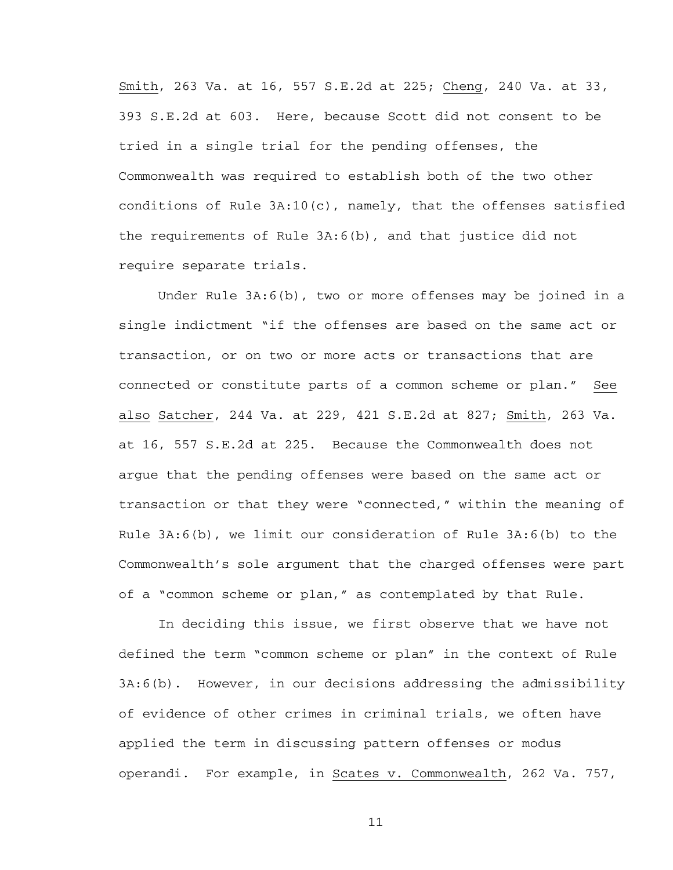Smith, 263 Va. at 16, 557 S.E.2d at 225; Cheng, 240 Va. at 33, 393 S.E.2d at 603. Here, because Scott did not consent to be tried in a single trial for the pending offenses, the Commonwealth was required to establish both of the two other conditions of Rule  $3A:10(c)$ , namely, that the offenses satisfied the requirements of Rule 3A:6(b), and that justice did not require separate trials.

Under Rule 3A:6(b), two or more offenses may be joined in a single indictment "if the offenses are based on the same act or transaction, or on two or more acts or transactions that are connected or constitute parts of a common scheme or plan." See also Satcher, 244 Va. at 229, 421 S.E.2d at 827; Smith, 263 Va. at 16, 557 S.E.2d at 225. Because the Commonwealth does not argue that the pending offenses were based on the same act or transaction or that they were "connected," within the meaning of Rule 3A:6(b), we limit our consideration of Rule 3A:6(b) to the Commonwealth's sole argument that the charged offenses were part of a "common scheme or plan," as contemplated by that Rule.

In deciding this issue, we first observe that we have not defined the term "common scheme or plan" in the context of Rule 3A:6(b). However, in our decisions addressing the admissibility of evidence of other crimes in criminal trials, we often have applied the term in discussing pattern offenses or modus operandi. For example, in Scates v. Commonwealth, 262 Va. 757,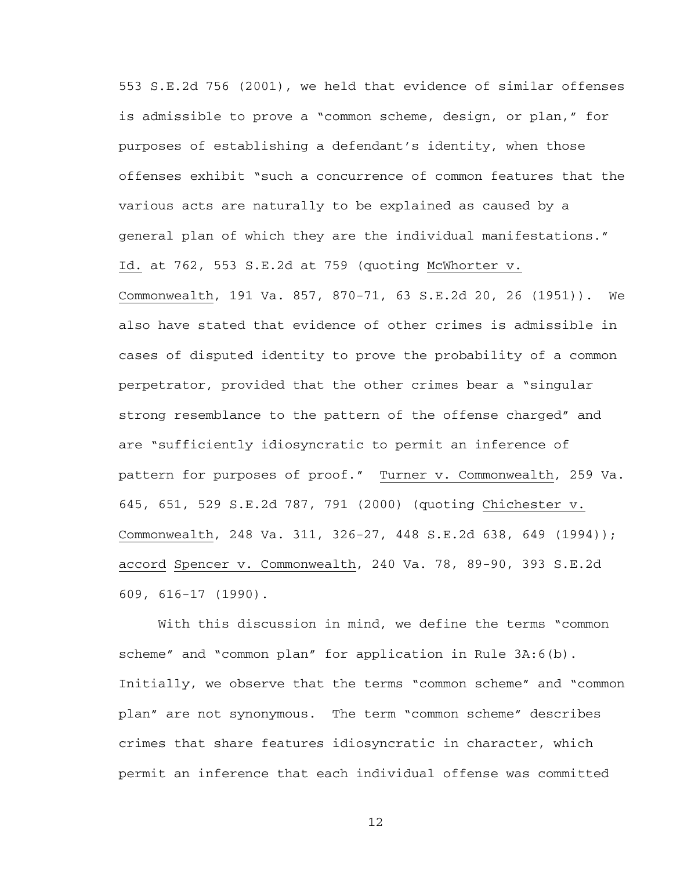553 S.E.2d 756 (2001), we held that evidence of similar offenses is admissible to prove a "common scheme, design, or plan," for purposes of establishing a defendant's identity, when those offenses exhibit "such a concurrence of common features that the various acts are naturally to be explained as caused by a general plan of which they are the individual manifestations." Id. at 762, 553 S.E.2d at 759 (quoting McWhorter v. Commonwealth, 191 Va. 857, 870-71, 63 S.E.2d 20, 26 (1951)). We also have stated that evidence of other crimes is admissible in cases of disputed identity to prove the probability of a common perpetrator, provided that the other crimes bear a "singular strong resemblance to the pattern of the offense charged" and are "sufficiently idiosyncratic to permit an inference of pattern for purposes of proof." Turner v. Commonwealth, 259 Va. 645, 651, 529 S.E.2d 787, 791 (2000) (quoting Chichester v. Commonwealth, 248 Va. 311, 326-27, 448 S.E.2d 638, 649 (1994)); accord Spencer v. Commonwealth, 240 Va. 78, 89-90, 393 S.E.2d 609, 616-17 (1990).

With this discussion in mind, we define the terms "common scheme" and "common plan" for application in Rule 3A:6(b). Initially, we observe that the terms "common scheme" and "common plan" are not synonymous. The term "common scheme" describes crimes that share features idiosyncratic in character, which permit an inference that each individual offense was committed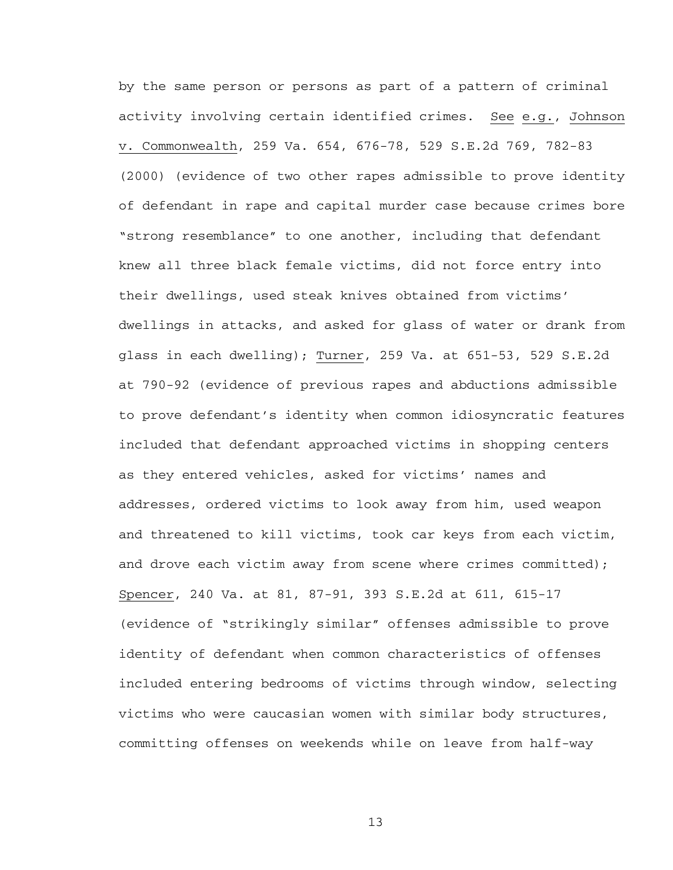by the same person or persons as part of a pattern of criminal activity involving certain identified crimes. See e.g., Johnson v. Commonwealth, 259 Va. 654, 676-78, 529 S.E.2d 769, 782-83 (2000) (evidence of two other rapes admissible to prove identity of defendant in rape and capital murder case because crimes bore "strong resemblance" to one another, including that defendant knew all three black female victims, did not force entry into their dwellings, used steak knives obtained from victims' dwellings in attacks, and asked for glass of water or drank from glass in each dwelling); Turner, 259 Va. at 651-53, 529 S.E.2d at 790-92 (evidence of previous rapes and abductions admissible to prove defendant's identity when common idiosyncratic features included that defendant approached victims in shopping centers as they entered vehicles, asked for victims' names and addresses, ordered victims to look away from him, used weapon and threatened to kill victims, took car keys from each victim, and drove each victim away from scene where crimes committed); Spencer, 240 Va. at 81, 87-91, 393 S.E.2d at 611, 615-17 (evidence of "strikingly similar" offenses admissible to prove identity of defendant when common characteristics of offenses included entering bedrooms of victims through window, selecting victims who were caucasian women with similar body structures, committing offenses on weekends while on leave from half-way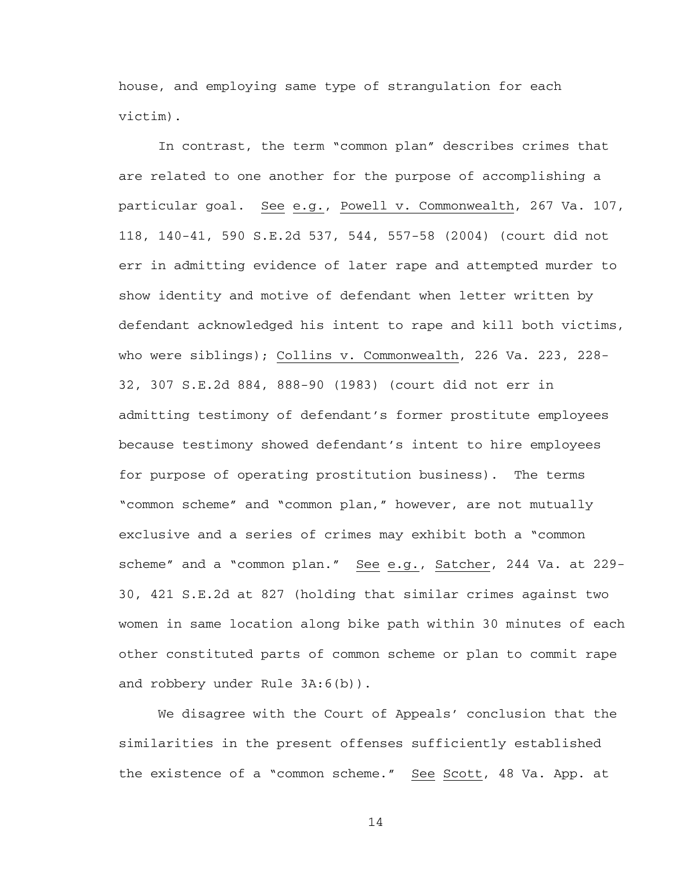house, and employing same type of strangulation for each victim).

In contrast, the term "common plan" describes crimes that are related to one another for the purpose of accomplishing a particular goal. See e.g., Powell v. Commonwealth, 267 Va. 107, 118, 140-41, 590 S.E.2d 537, 544, 557-58 (2004) (court did not err in admitting evidence of later rape and attempted murder to show identity and motive of defendant when letter written by defendant acknowledged his intent to rape and kill both victims, who were siblings); Collins v. Commonwealth, 226 Va. 223, 228- 32, 307 S.E.2d 884, 888-90 (1983) (court did not err in admitting testimony of defendant's former prostitute employees because testimony showed defendant's intent to hire employees for purpose of operating prostitution business). The terms "common scheme" and "common plan," however, are not mutually exclusive and a series of crimes may exhibit both a "common scheme" and a "common plan." See e.g., Satcher, 244 Va. at 229- 30, 421 S.E.2d at 827 (holding that similar crimes against two women in same location along bike path within 30 minutes of each other constituted parts of common scheme or plan to commit rape and robbery under Rule 3A:6(b)).

We disagree with the Court of Appeals' conclusion that the similarities in the present offenses sufficiently established the existence of a "common scheme." See Scott, 48 Va. App. at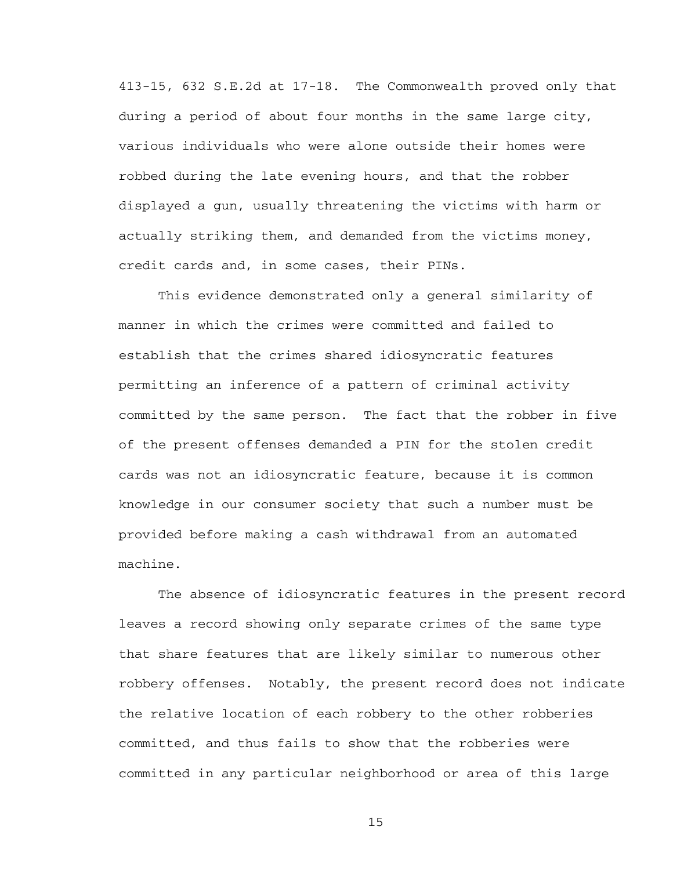413-15, 632 S.E.2d at 17-18. The Commonwealth proved only that during a period of about four months in the same large city, various individuals who were alone outside their homes were robbed during the late evening hours, and that the robber displayed a gun, usually threatening the victims with harm or actually striking them, and demanded from the victims money, credit cards and, in some cases, their PINs.

This evidence demonstrated only a general similarity of manner in which the crimes were committed and failed to establish that the crimes shared idiosyncratic features permitting an inference of a pattern of criminal activity committed by the same person. The fact that the robber in five of the present offenses demanded a PIN for the stolen credit cards was not an idiosyncratic feature, because it is common knowledge in our consumer society that such a number must be provided before making a cash withdrawal from an automated machine.

The absence of idiosyncratic features in the present record leaves a record showing only separate crimes of the same type that share features that are likely similar to numerous other robbery offenses. Notably, the present record does not indicate the relative location of each robbery to the other robberies committed, and thus fails to show that the robberies were committed in any particular neighborhood or area of this large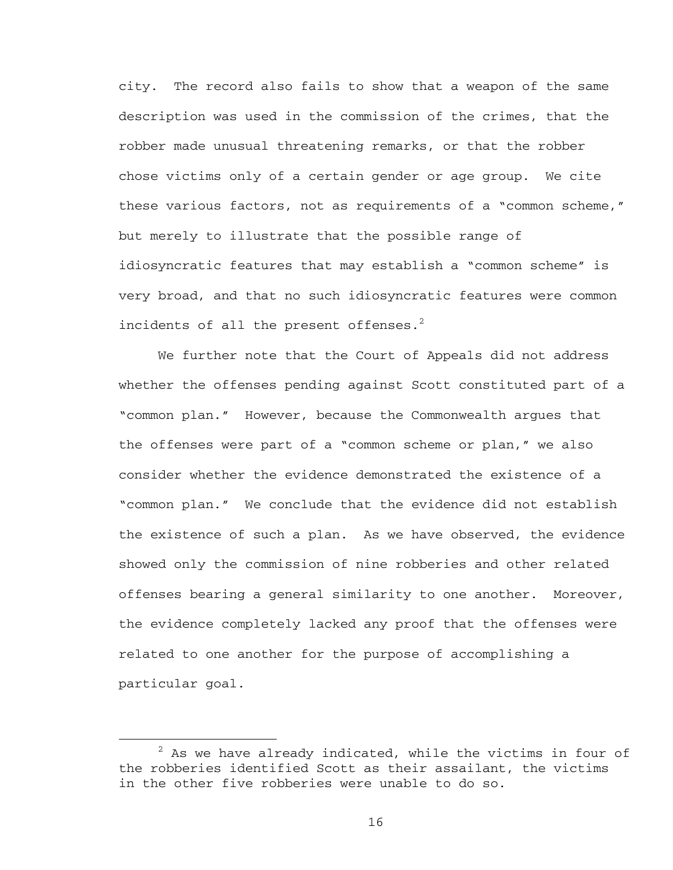city. The record also fails to show that a weapon of the same description was used in the commission of the crimes, that the robber made unusual threatening remarks, or that the robber chose victims only of a certain gender or age group. We cite these various factors, not as requirements of a "common scheme," but merely to illustrate that the possible range of idiosyncratic features that may establish a "common scheme" is very broad, and that no such idiosyncratic features were common incidents of all the present offenses. $2$ 

We further note that the Court of Appeals did not address whether the offenses pending against Scott constituted part of a "common plan." However, because the Commonwealth argues that the offenses were part of a "common scheme or plan," we also consider whether the evidence demonstrated the existence of a "common plan." We conclude that the evidence did not establish the existence of such a plan. As we have observed, the evidence showed only the commission of nine robberies and other related offenses bearing a general similarity to one another. Moreover, the evidence completely lacked any proof that the offenses were related to one another for the purpose of accomplishing a particular goal.

 $\overline{\phantom{a}}$  2  $2$  As we have already indicated, while the victims in four of the robberies identified Scott as their assailant, the victims in the other five robberies were unable to do so.